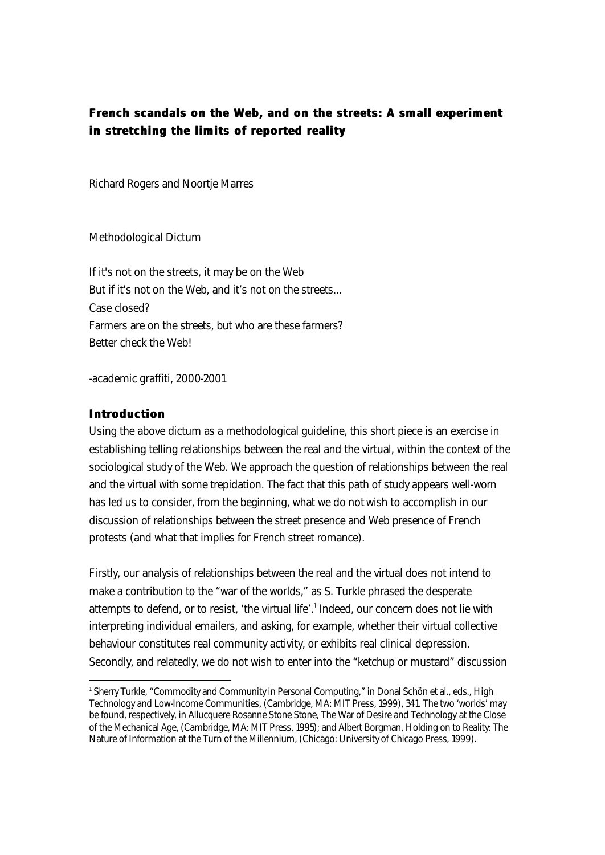# **French scandals on the Web, and on the streets: A small experiment in stretching the limits of reported reality**

Richard Rogers and Noortje Marres

*Methodological Dictum*

*If it's not on the streets, it may be on the Web But if it's not on the Web, and it's not on the streets... Case closed? Farmers are on the streets, but who are these farmers? Better check the Web!*

-academic graffiti, 2000-2001

#### **Introduction**

I

Using the above dictum as a methodological guideline, this short piece is an exercise in establishing telling relationships between the real and the virtual, within the context of the sociological study of the Web. We approach the question of relationships between the real and the virtual with some trepidation. The fact that this path of study appears well-worn has led us to consider, from the beginning, what we *do not* wish to accomplish in our discussion of relationships between the street presence and Web presence of French protests (and what that implies for French street romance).

Firstly, our analysis of relationships between the real and the virtual does not intend to make a contribution to the "war of the worlds," as S. Turkle phrased the desperate attempts to defend, or to resist, 'the virtual life'.<sup>1</sup> Indeed, our concern does not lie with interpreting individual emailers, and asking, for example, whether their virtual collective behaviour constitutes real community activity, or exhibits real clinical depression. Secondly, and relatedly, we do not wish to enter into the "ketchup or mustard" discussion

<sup>1</sup> Sherry Turkle, "Commodity and Community in Personal Computing," in Donal Schön et al., eds., High Technology and Low-Income Communities, (Cambridge, MA: MIT Press, 1999), 341. The two 'worlds' may be found, respectively, in Allucquere Rosanne Stone Stone, The War of Desire and Technology at the Close of the Mechanical Age, (Cambridge, MA: MIT Press, 1995); and Albert Borgman, Holding on to Reality: The Nature of Information at the Turn of the Millennium, (Chicago: University of Chicago Press, 1999).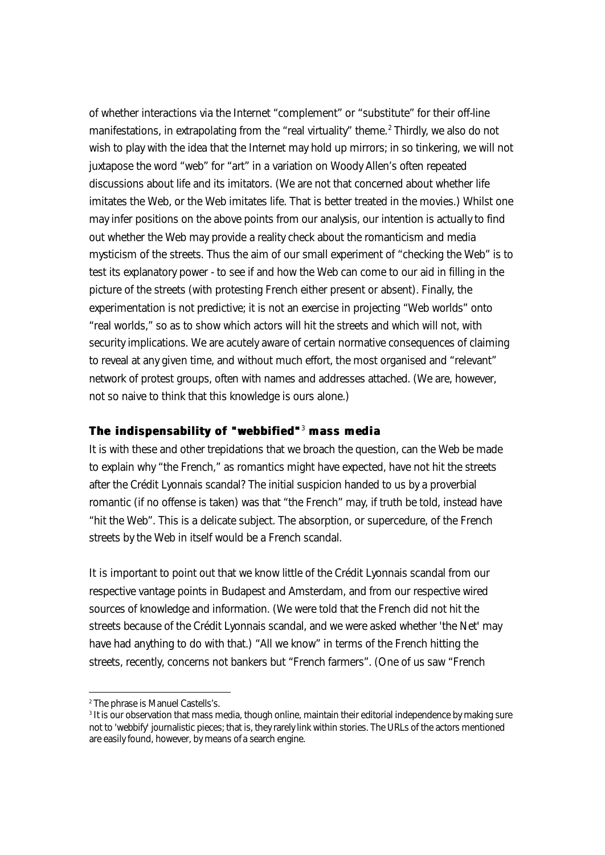of whether interactions via the Internet "complement" or "substitute" for their off-line manifestations, in extrapolating from the "real virtuality" theme.<sup>2</sup> Thirdly, we also do not wish to play with the idea that the Internet may hold up mirrors; in so tinkering, we will not juxtapose the word "web" for "art" in a variation on Woody Allen's often repeated discussions about life and its imitators. (We are not that concerned about whether life imitates the Web, or the Web imitates life. That is better treated in the movies.) Whilst one may infer positions on the above points from our analysis, our intention is actually to find out whether the Web may provide a reality check about the romanticism and media mysticism of the streets. Thus the aim of our small experiment of "checking the Web" is to test its explanatory power - to see if and how the Web can come to our aid in filling in the picture of the streets (with protesting French either present or absent). Finally, the experimentation is not predictive; it is not an exercise in projecting "Web worlds" onto "real worlds," so as to show which actors will hit the streets and which will not, with security implications. We are acutely aware of certain normative consequences of claiming to reveal at any given time, and without much effort, the most organised and "relevant" network of protest groups, often with names and addresses attached. (We are, however, not so naive to think that this knowledge is ours alone.)

### **The indispensability of "webbified"** <sup>3</sup>  **mass media**

It is with these and other trepidations that we broach the question, can the Web be made to explain why "the French," as romantics might have expected, have not hit the streets after the Crédit Lyonnais scandal? The initial suspicion handed to us by a proverbial romantic (if no offense is taken) was that "the French" may, if truth be told, instead have "hit the Web". This is a delicate subject. The absorption, or supercedure, of the French streets by the Web in itself would be a French scandal.

It is important to point out that we know little of the Crédit Lyonnais scandal from our respective vantage points in Budapest and Amsterdam, and from our respective wired sources of knowledge and information. (We were told that the French did not hit the streets because of the Crédit Lyonnais scandal, and we were asked whether 'the Net' may have had anything to do with that.) "All we know" in terms of the French hitting the streets, recently, concerns not bankers but "French farmers". (One of us saw "French

j

<sup>2</sup> The phrase is Manuel Castells's.

<sup>3</sup> It is our observation that mass media, though online, maintain their editorial independence by making sure not to 'webbify' journalistic pieces; that is, they rarely link within stories. The URLs of the actors mentioned are easily found, however, by means of a search engine.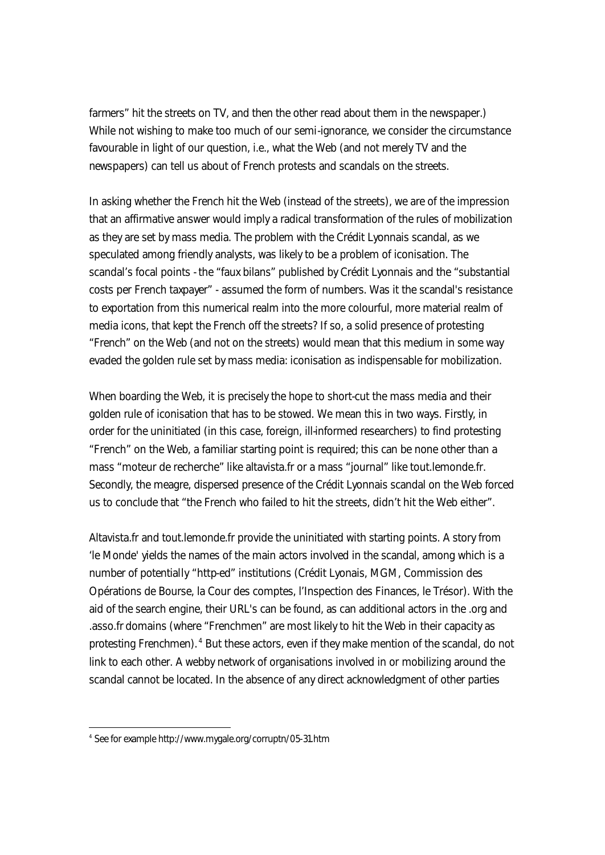farmers" hit the streets on TV, and then the other read about them in the newspaper.) While not wishing to make too much of our semi-ignorance, we consider the circumstance favourable in light of our question, i.e., what *the Web* (and not merely TV and the newspapers) can tell us about of French protests and scandals on the streets.

In asking whether the French hit the Web (instead of the streets), we are of the impression that an affirmative answer would imply a radical transformation of the rules of mobilization as they are set by mass media. The problem with the Crédit Lyonnais scandal, as we speculated among friendly analysts, was likely to be a problem of iconisation. The scandal's focal points - the "faux bilans" published by Crédit Lyonnais and the "substantial costs per French taxpayer" - assumed the form of numbers. Was it the scandal's resistance to exportation from this numerical realm into the more colourful, more material realm of media icons, that kept the French off the streets? If so, a solid presence of protesting "French" on the Web (and not on the streets) would mean that this medium in some way evaded the golden rule set by mass media: iconisation as indispensable for mobilization.

When boarding the Web, it is precisely the hope to short-cut the mass media and their golden rule of iconisation that has to be stowed. We mean this in two ways. Firstly, in order for the uninitiated (in this case, foreign, ill-informed researchers) to find protesting "French" on the Web, a familiar starting point is required; this can be none other than a mass "moteur de recherche" like altavista.fr or a mass "journal" like tout.lemonde.fr. Secondly, the meagre, dispersed presence of the Crédit Lyonnais scandal on the Web forced us to conclude that "the French who failed to hit the streets, didn't hit the Web either".

Altavista.fr and tout.lemonde.fr provide the uninitiated with starting points. A story from 'le Monde' yields the names of the main actors involved in the scandal, among which is a number of potentially "http-ed" institutions (Crédit Lyonais, MGM, Commission des Opérations de Bourse, la Cour des comptes, l'Inspection des Finances, le Trésor). With the aid of the search engine, their URL's can be found, as can additional actors in the .org and .asso.fr domains (where "Frenchmen" are most likely to hit the Web in their capacity as protesting Frenchmen). <sup>4</sup> But these actors, even if they make mention of the scandal, do not link to each other. A webby network of organisations involved in or mobilizing around the scandal cannot be located. In the absence of any direct acknowledgment of other parties

<sup>4</sup> See for example http://www.mygale.org/corruptn/05-31.htm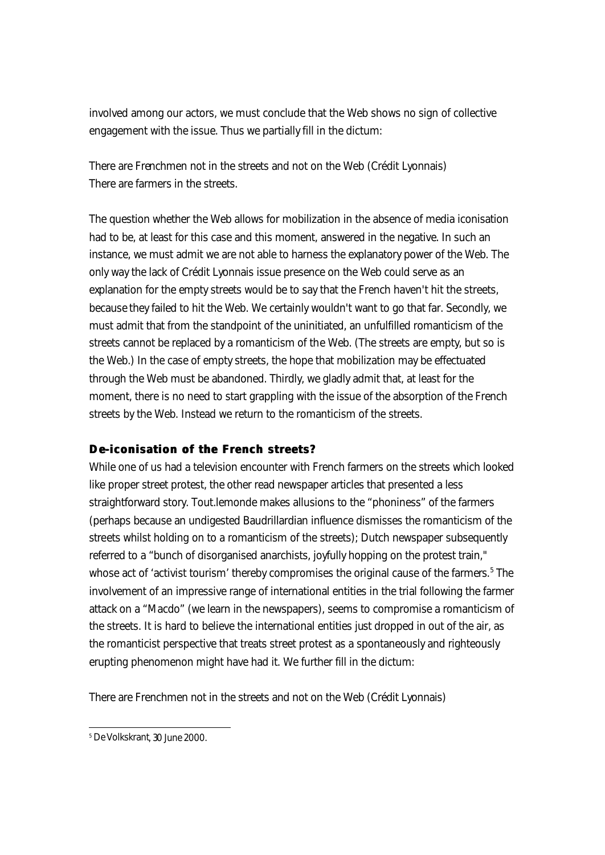involved among our actors, we must conclude that the Web shows no sign of collective engagement with the issue. Thus we partially fill in the dictum:

There are Frenchmen not in the streets and not on the Web (Crédit Lyonnais) There are farmers in the streets.

The question whether the Web allows for mobilization in the absence of media iconisation had to be, at least for this case and this moment, answered in the negative. In such an instance, we must admit we are not able to harness the explanatory power of the Web. The only way the lack of Crédit Lyonnais issue presence on the Web could serve as an explanation for the empty streets would be to say that the French haven't hit the streets, *because* they failed to hit the Web. We certainly wouldn't want to go that far. Secondly, we must admit that from the standpoint of the uninitiated, an unfulfilled romanticism of the streets cannot be replaced by a romanticism of the Web. (The streets are empty, but so is the Web.) In the case of empty streets, the hope that mobilization may be effectuated through the Web must be abandoned. Thirdly, we gladly admit that, at least for the moment, there is no need to start grappling with the issue of the absorption of the French streets by the Web. Instead we return to the romanticism of the streets.

## **D e-iconisation of the French streets?**

While one of us had a television encounter with French farmers on the streets which looked like proper street protest, the other read newspaper articles that presented a less straightforward story. Tout.lemonde makes allusions to the "phoniness" of the farmers (perhaps because an undigested Baudrillardian influence dismisses the romanticism of the streets whilst holding on to a romanticism of the streets); Dutch newspaper subsequently referred to a "bunch of disorganised anarchists, joyfully hopping on the protest train," whose act of 'activist tourism' thereby compromises the original cause of the farmers.<sup>5</sup> The involvement of an impressive range of international entities in the trial following the farmer attack on a "Macdo" (we learn in the newspapers), seems to compromise a romanticism of the streets. It is hard to believe the international entities just dropped in out of the air, as the romanticist perspective that treats street protest as a spontaneously and righteously erupting phenomenon might have had it. We further fill in the dictum:

There are Frenchmen not in the streets and not on the Web (Crédit Lyonnais)

I <sup>5</sup> *De Volkskrant*, 30 June 2000.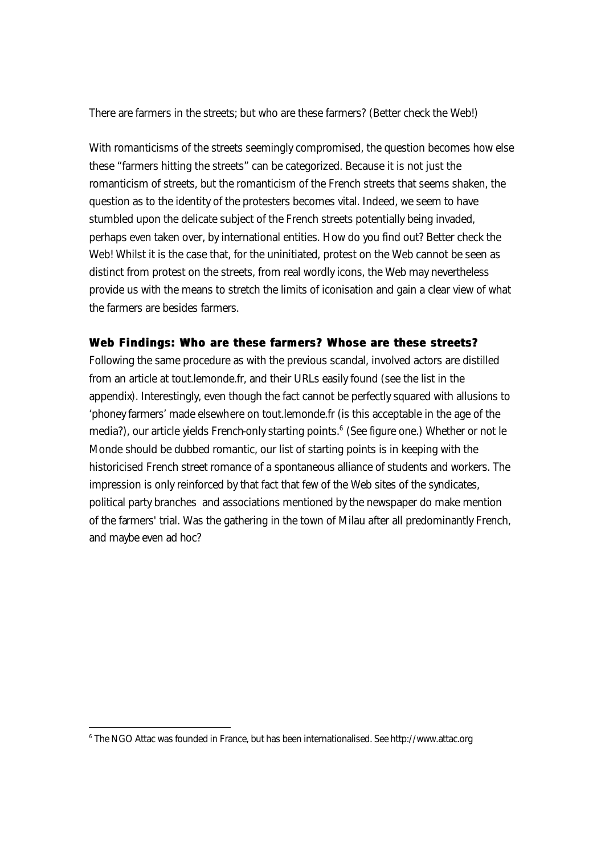There are farmers in the streets; but who are these farmers? (Better check the Web!)

With romanticisms of the streets seemingly compromised, the question becomes how else these "farmers hitting the streets" can be categorized. Because it is not just the romanticism of streets, but the romanticism of the French streets that seems shaken, the question as to the identity of the protesters becomes vital. Indeed, we seem to have stumbled upon the delicate subject of the French streets potentially being invaded, perhaps even taken over, by international entities. How do you find out? Better check the Web! Whilst it is the case that, for the uninitiated, protest on the Web cannot be seen as distinct from protest on the streets, from real wordly icons, the Web may nevertheless provide us with the means to stretch the limits of iconisation and gain a clear view of what the farmers are besides farmers.

### **Web Findings: Who are these farmers? Whose are these streets?**

Following the same procedure as with the previous scandal, involved actors are distilled from an article at tout.lemonde.fr, and their URLs easily found (see the list in the appendix). Interestingly, even though the fact cannot be perfectly squared with allusions to 'phoney farmers' made elsewhere on tout.lemonde.fr (is this acceptable in the age of the media?), our article yields French-only starting points.<sup>6</sup> (See figure one.) Whether or not le Monde should be dubbed romantic, our list of starting points is in keeping with the historicised French street romance of a spontaneous alliance of students and workers. The impression is only reinforced by that fact that few of the Web sites of the syndicates, political party branches and associations mentioned by the newspaper do make mention of the farmers' trial. Was the gathering in the town of Milau after all predominantly French, and maybe even ad hoc?

<sup>6</sup> The NGO Attac was founded in France, but has been internationalised. See http://www.attac.org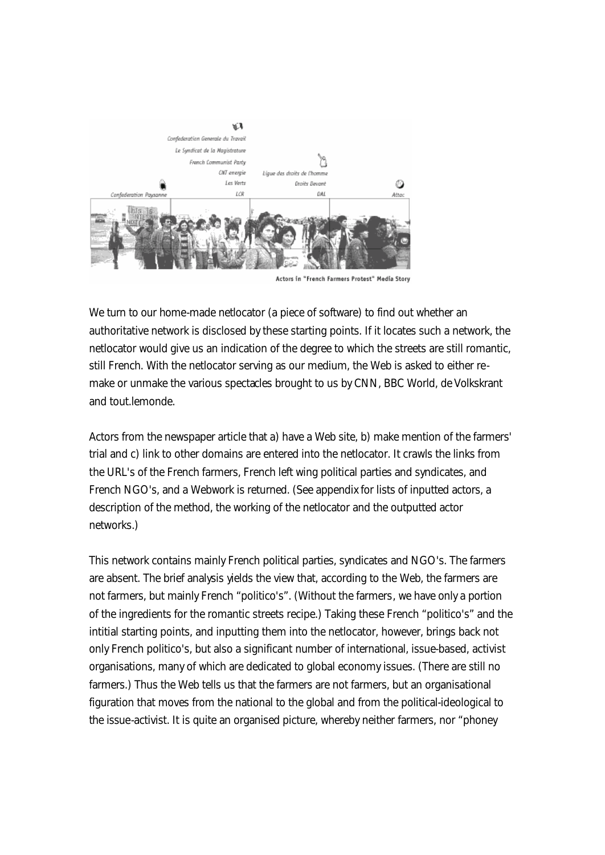

Actors in "French Farmers Protest" Media Story

We turn to our home-made netlocator (a piece of software) to find out whether an authoritative network is disclosed by these starting points. If it locates such a network, the netlocator would give us an indication of the degree to which the streets are still romantic, still French. With the netlocator serving as our medium, the Web is asked to either remake or unmake the various spectacles brought to us by CNN, BBC World, *de Volkskrant* and tout.lemonde.

Actors from the newspaper article that a) have a Web site, b) make mention of the farmers' trial and c) link to other domains are entered into the netlocator. It crawls the links from the URL's of the French farmers, French left wing political parties and syndicates, and French NGO's, and a Webwork is returned. (See appendix for lists of inputted actors, a description of the method, the working of the netlocator and the outputted actor networks.)

This network contains mainly French political parties, syndicates and NGO's. The farmers are absent. The brief analysis yields the view that, according to the Web, the farmers are not farmers, but mainly French "politico's". (Without the farmers, we have only a portion of the ingredients for the romantic streets recipe.) Taking these French "politico's" and the intitial starting points, and inputting them into the netlocator, however, brings back not only French politico's, but also a significant number of international, issue-based, activist organisations, many of which are dedicated to global economy issues. (There are still no farmers.) Thus the Web tells us that the farmers are not farmers, but an organisational figuration that moves from the national to the global and from the political-ideological to the issue-activist. It is quite an organised picture, whereby neither farmers, nor "phoney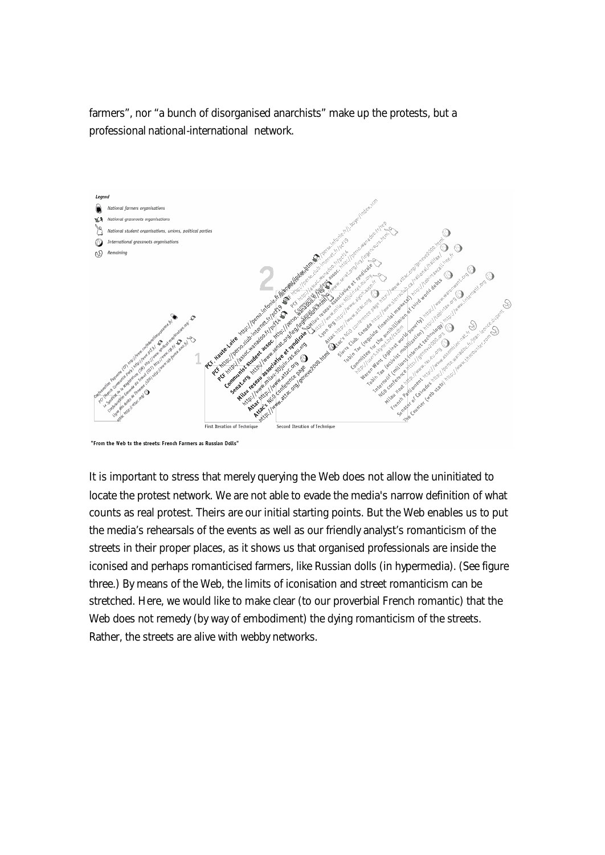farmers", nor "a bunch of disorganised anarchists" make up the protests, but a professional national-international network.



<sup>&</sup>quot;From the Web to the streets: French Farmers as Russian Dolls"

It is important to stress that merely querying the Web does not allow the uninitiated to locate the protest network. We are not able to evade the media's narrow definition of what counts as real protest. Theirs are our initial starting points. But the Web enables us to put the media's rehearsals of the events as well as our friendly analyst's romanticism of the streets in their proper places, as it shows us that organised professionals are inside the iconised and perhaps romanticised farmers, like Russian dolls (in hypermedia). (See figure three.) By means of the Web, the limits of iconisation and street romanticism can be stretched. Here, we would like to make clear (to our proverbial French romantic) that the Web does not remedy (by way of embodiment) the dying romanticism of the streets. Rather, the streets are alive with webby networks.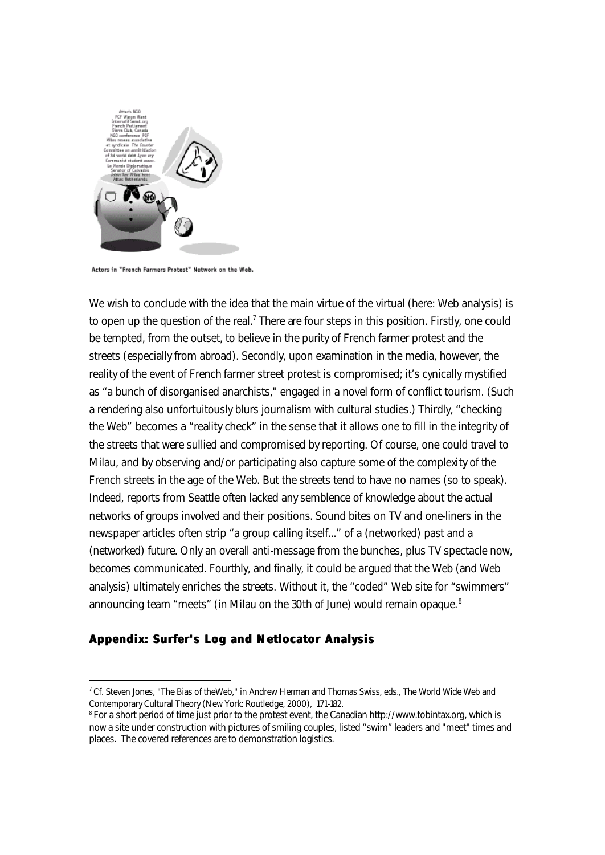

Actors in "French Farmers Protest" Network on the Web.

We wish to conclude with the idea that the main virtue of the virtual (here: Web analysis) is to open up the question of the real.<sup>7</sup> There are four steps in this position. Firstly, one could be tempted, from the outset, to believe in the purity of French farmer protest and the streets (especially from abroad). Secondly, upon examination in the media, however, the reality of the event of French farmer street protest is compromised; it's cynically mystified as "a bunch of disorganised anarchists," engaged in a novel form of conflict tourism. (Such a rendering also unfortuitously blurs journalism with cultural studies.) Thirdly, "checking the Web" becomes a "reality check" in the sense that it allows one to fill in the integrity of the streets that were sullied and compromised by reporting. Of course, one could travel to Milau, and by observing and/or participating also capture some of the complexity of the French streets in the age of the Web. But the streets tend to have no names (so to speak). Indeed, reports from Seattle often lacked any semblence of knowledge about the actual networks of groups involved and their positions. Sound bites on TV and one-liners in the newspaper articles often strip "a group calling itself..." of a (networked) past and a (networked) future. Only an overall anti-message from the bunches, plus TV spectacle now, becomes communicated. Fourthly, and finally, it could be argued that the Web (and Web analysis) ultimately enriches the streets. Without it, the "coded" Web site for "swimmers" announcing team "meets" (in Milau on the 30th of June) would remain opaque.<sup>8</sup>

## **Appendix: Surfer's Log and Netlocator Analysis**

 $^7$  Cf. Steven Jones, "The Bias of theWeb," in Andrew Herman and Thomas Swiss, eds., The World Wide Web and Contemporary Cultural Theory (New York: Routledge, 2000), 171-182.

 $^{\rm 8}$  For a short period of time just prior to the protest event, the Canadian http://www.tobintax.org, which is now a site under construction with pictures of smiling couples, listed "swim" leaders and "meet" times and places. The covered references are to demonstration logistics.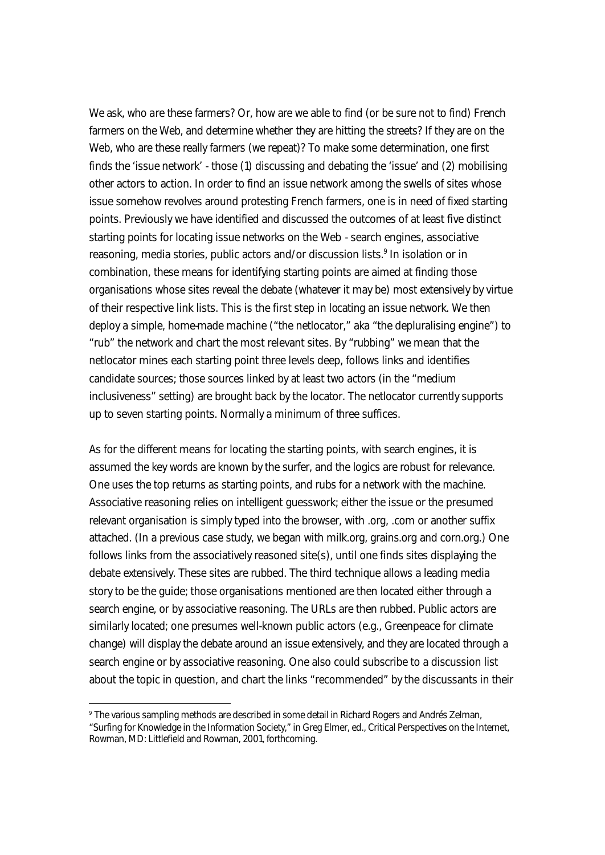We ask, who are these farmers? Or, how are we able to find (or be sure not to find) French farmers on the Web, and determine whether *they* are hitting the streets? If they are on the Web, who are these really farmers (we repeat)? To make some determination, one first finds the 'issue network' - those (1) discussing and debating the 'issue' and (2) mobilising other actors to action. In order to find an issue network among the swells of sites whose issue somehow revolves around protesting French farmers, one is in need of fixed starting points. Previously we have identified and discussed the outcomes of at least five distinct starting points for locating issue networks on the Web - search engines, associative reasoning, media stories, public actors and/or discussion lists.<sup>9</sup> In isolation or in combination, these means for identifying starting points are aimed at finding those organisations whose sites reveal the debate (whatever it may be) most extensively by virtue of their respective link lists. This is the first step in locating an issue network. We then deploy a simple, home-made machine ("the netlocator," aka "the depluralising engine") to "rub" the network and chart the most relevant sites. By "rubbing" we mean that the netlocator mines each starting point three levels deep, follows links and identifies candidate sources; those sources linked by at least two actors (in the "medium inclusiveness" setting) are brought back by the locator. The netlocator currently supports up to seven starting points. Normally a minimum of three suffices.

As for the different means for locating the starting points, with search engines, it is assumed the key words are known by the surfer, and the logics are robust for relevance. One uses the top returns as starting points, and rubs for a network with the machine. Associative reasoning relies on intelligent guesswork; either the issue or the presumed relevant organisation is simply typed into the browser, with .org, .com or another suffix attached. (In a previous case study, we began with milk.org, grains.org and corn.org.) One follows links from the associatively reasoned site(s), until one finds sites displaying the debate extensively. These sites are rubbed. The third technique allows a leading media story to be the guide; those organisations mentioned are then located either through a search engine, or by associative reasoning. The URLs are then rubbed. Public actors are similarly located; one presumes well-known public actors (e.g., Greenpeace for climate change) will display the debate around an issue extensively, and they are located through a search engine or by associative reasoning. One also could subscribe to a discussion list about the topic in question, and chart the links "recommended" by the discussants in their

<sup>9</sup> The various sampling methods are described in some detail in Richard Rogers and Andrés Zelman, "Surfing for Knowledge in the Information Society," in Greg Elmer, ed., Critical Perspectives on the Internet, Rowman, MD: Littlefield and Rowman, 2001, forthcoming.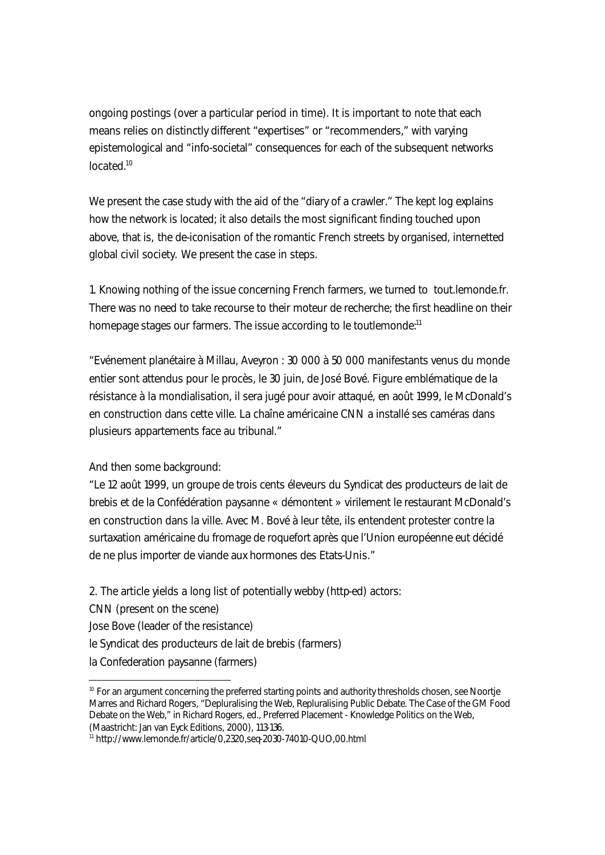ongoing postings (over a particular period in time). It is important to note that each means relies on distinctly different "expertises" or "recommenders," with varying epistemological and "info-societal" consequences for each of the subsequent networks located.<sup>10</sup>

We present the case study with the aid of the "diary of a crawler." The kept log explains how the network is located; it also details the most significant finding touched upon above, that is, *the de-iconisation of the romantic French streets by organised, internetted global civil society.* We present the case in steps.

1. Knowing nothing of the issue concerning French farmers, we turned to tout.lemonde.fr. There was no need to take recourse to their moteur de recherche; the first headline on their homepage stages our farmers. The issue according to le toutlemonde:<sup>11</sup>

"Evénement planétaire à Millau, Aveyron : 30 000 à 50 000 manifestants venus du monde entier sont attendus pour le procès, le 30 juin, de José Bové. Figure emblématique de la résistance à la mondialisation, il sera jugé pour avoir attaqué, en août 1999, le McDonald's en construction dans cette ville. La chaîne américaine CNN a installé ses caméras dans plusieurs appartements face au tribunal."

And then some background:

"Le 12 août 1999, un groupe de trois cents éleveurs du Syndicat des producteurs de lait de brebis et de la Confédération paysanne « démontent » virilement le restaurant McDonald's en construction dans la ville. Avec M. Bové à leur tête, ils entendent protester contre la surtaxation américaine du fromage de roquefort après que l'Union européenne eut décidé de ne plus importer de viande aux hormones des Etats-Unis."

2. The article yields a long list of potentially webby (http-ed) actors: CNN (present on the scene) Jose Bove (leader of the resistance) le Syndicat des producteurs de lait de brebis (farmers) la Confederation paysanne (farmers) I

<sup>&</sup>lt;sup>10</sup> For an argument concerning the preferred starting points and authority thresholds chosen, see Noortje Marres and Richard Rogers, "Depluralising the Web, Repluralising Public Debate. The Case of the GM Food Debate on the Web," in Richard Rogers, ed., Preferred Placement - Knowledge Politics on the Web, (Maastricht: Jan van Eyck Editions, 2000), 113-136.

<sup>11</sup> http://www.lemonde.fr/article/0,2320,seq-2030-74010-QUO,00.html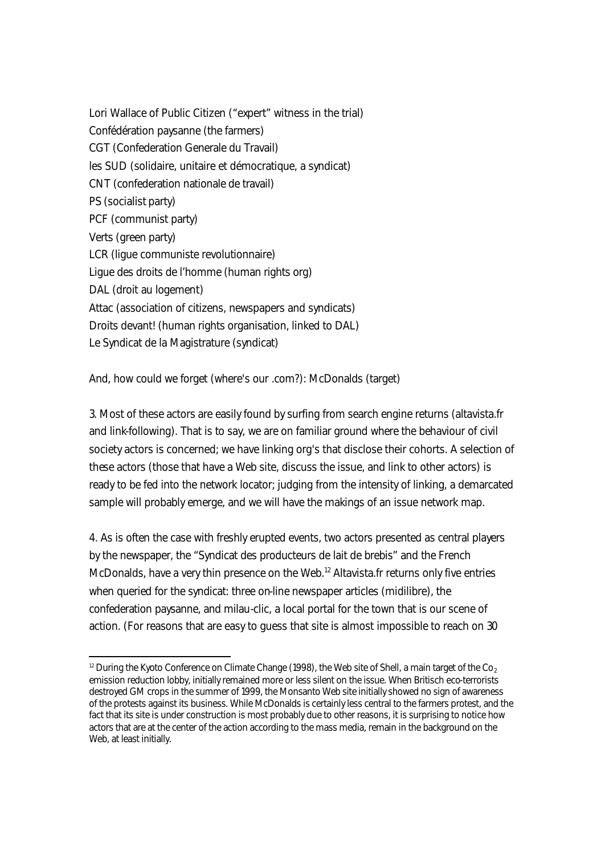Lori Wallace of Public Citizen ("expert" witness in the trial) Confédération paysanne (the farmers) CGT (Confederation Generale du Travail) les SUD (solidaire, unitaire et démocratique, a syndicat) CNT (confederation nationale de travail) PS (socialist party) PCF (communist party) Verts (green party) LCR (ligue communiste revolutionnaire) Ligue des droits de l'homme (human rights org) DAL (droit au logement) Attac (association of citizens, newspapers and syndicats) Droits devant! (human rights organisation, linked to DAL) Le Syndicat de la Magistrature (syndicat)

And, how could we forget (where's our .com?): McDonalds (target)

I

3. Most of these actors are easily found by surfing from search engine returns (altavista.fr and link-following). That is to say, we are on familiar ground where the behaviour of civil society actors is concerned; we have linking org's that disclose their cohorts. A selection of these actors (those that have a Web site, discuss the issue, and link to other actors) is ready to be fed into the network locator; judging from the intensity of linking, a demarcated sample will probably emerge, and we will have the makings of an issue network map.

4. As is often the case with freshly erupted events, two actors presented as central players by the newspaper, the "Syndicat des producteurs de lait de brebis" and the French McDonalds, have a very thin presence on the Web.<sup>12</sup> Altavista.fr returns only five entries when queried for the syndicat: three on-line newspaper articles (midilibre), the confederation paysanne, and milau-clic, a local portal for the town that is our scene of action. (For reasons that are easy to guess that site is almost impossible to reach on 30

<sup>&</sup>lt;sup>12</sup> During the Kyoto Conference on Climate Change (1998), the Web site of Shell, a main target of the Co<sub>2</sub> emission reduction lobby, initially remained more or less silent on the issue. When Britisch eco-terrorists destroyed GM crops in the summer of 1999, the Monsanto Web site initially showed no sign of awareness of the protests against its business. While McDonalds is certainly less central to the farmers protest, and the fact that its site is under construction is most probably due to other reasons, it is surprising to notice how actors that are at the center of the action according to the mass media, remain in the background on the Web, at least initially.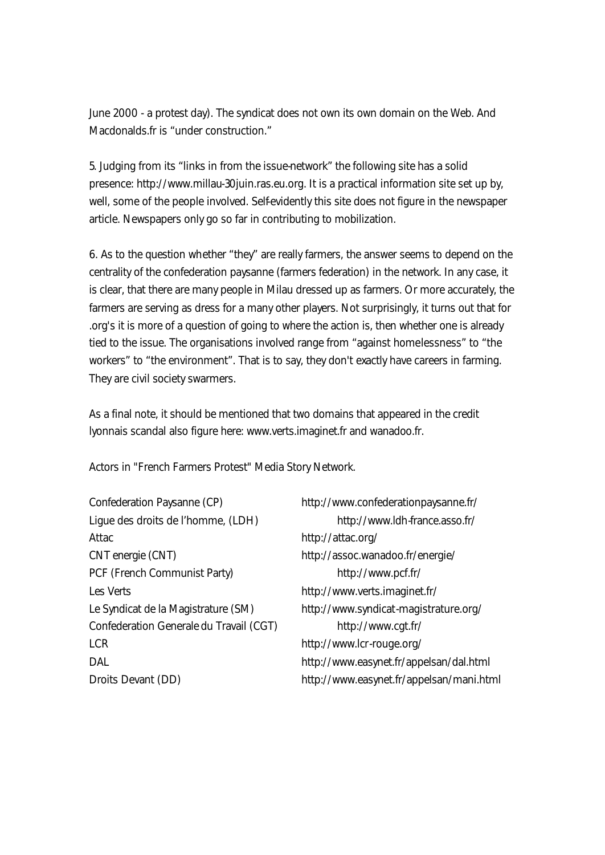June 2000 - a protest day). The syndicat does not own its own domain on the Web. And Macdonalds.fr is "under construction."

5. Judging from its "links in from the issue-network" the following site has a solid presence: http://www.millau-30juin.ras.eu.org. It is a practical information site set up by, well, some of the people involved. Selfevidently this site does not figure in the newspaper article. Newspapers only go so far in contributing to mobilization.

6. As to the question whether "they" are really farmers, the answer seems to depend on the centrality of the confederation paysanne (farmers federation) in the network. In any case, it is clear, that there are many people in Milau dressed up as farmers. Or more accurately, the farmers are serving as dress for a many other players. Not surprisingly, it turns out that for .org's it is more of a question of going to where the action is, then whether one is already tied to the issue. The organisations involved range from "against homelessness" to "the workers" to "the environment". That is to say, they don't exactly have careers in farming. They are civil society swarmers.

As a final note, it should be mentioned that two domains that appeared in the credit lyonnais scandal also figure here: www.verts.imaginet.fr and wanadoo.fr.

Actors in "French Farmers Protest" Media Story Network.

Confederation Paysanne (CP) http://www.confederationpaysanne.fr/ Lique des droits de l'homme, (LDH) http://www.ldh-france.asso.fr/ Attac http://attac.org/ CNT energie (CNT) http://assoc.wanadoo.fr/energie/ PCF (French Communist Party) http://www.pcf.fr/ Les Verts **http://www.verts.imaginet.fr/** Le Syndicat de la Magistrature (SM) http://www.syndicat-magistrature.org/ Confederation Generale du Travail (CGT) http://www.cgt.fr/ LCR http://www.lcr-rouge.org/

DAL http://www.easynet.fr/appelsan/dal.html Droits Devant (DD) http://www.easynet.fr/appelsan/mani.html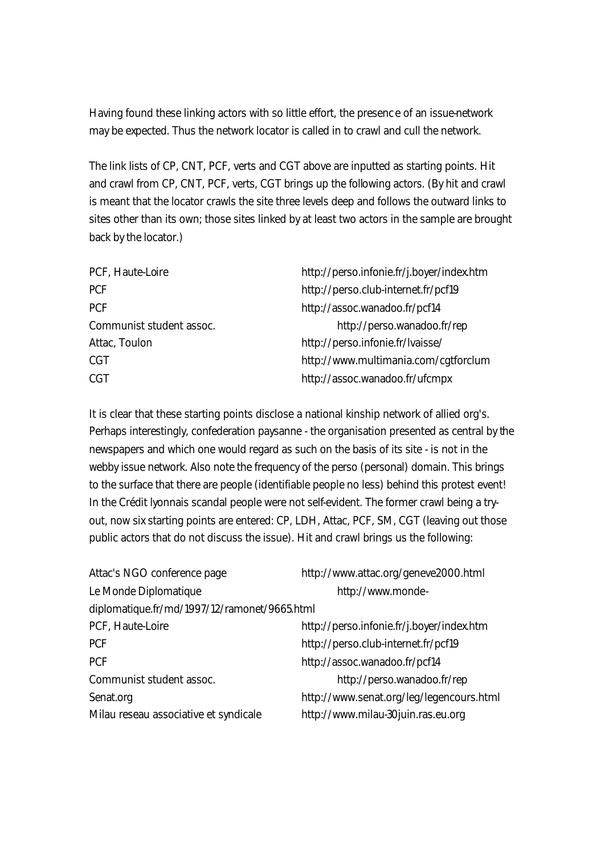Having found these linking actors with so little effort, the presenc e of an issue-network may be expected. Thus the network locator is called in to crawl and cull the network.

The link lists of CP, CNT, PCF, verts and CGT above are inputted as starting points. Hit and crawl from CP, CNT, PCF, verts, CGT brings up the following actors. (By hit and crawl is meant that the locator crawls the site three levels deep and follows the outward links to sites other than its own; those sites linked by at least two actors in the sample are brought back by the locator.)

| PCF, Haute-Loire         | http://perso.infonie.fr/j.boyer/index.htm |
|--------------------------|-------------------------------------------|
| <b>PCF</b>               | http://perso.club-internet.fr/pcf19       |
| <b>PCF</b>               | http://assoc.wanadoo.fr/pcf14             |
| Communist student assoc. | http://perso.wanadoo.fr/rep               |
| Attac, Toulon            | http://perso.infonie.fr/lvaisse/          |
| <b>CGT</b>               | http://www.multimania.com/cgtforclum      |
| <b>CGT</b>               | http://assoc.wanadoo.fr/ufcmpx            |

It is clear that these starting points disclose a national kinship network of allied org's. Perhaps interestingly, confederation paysanne - the organisation presented as central by the newspapers and which one would regard as such on the basis of its site - is not in the webby issue network. Also note the frequency of the perso (personal) domain. This brings to the surface that there are people (identifiable people no less) behind this protest event! In the Crédit lyonnais scandal people were not self-evident. The former crawl being a tryout, now six starting points are entered: CP, LDH, Attac, PCF, SM, CGT (leaving out those public actors that do not discuss the issue). Hit and crawl brings us the following:

| Attac's NGO conference page                  | http://www.attac.org/geneve2000.html      |  |
|----------------------------------------------|-------------------------------------------|--|
| Le Monde Diplomatique                        | http://www.monde-                         |  |
| diplomatique.fr/md/1997/12/ramonet/9665.html |                                           |  |
| PCF, Haute-Loire                             | http://perso.infonie.fr/j.boyer/index.htm |  |
| <b>PCF</b>                                   | http://perso.club-internet.fr/pcf19       |  |
| <b>PCF</b>                                   | http://assoc.wanadoo.fr/pcf14             |  |
| Communist student assoc.                     | http://perso.wanadoo.fr/rep               |  |
| Senat.org                                    | http://www.senat.org/leg/legencours.html  |  |
| Milau reseau associative et syndicale        | http://www.milau-30juin.ras.eu.org        |  |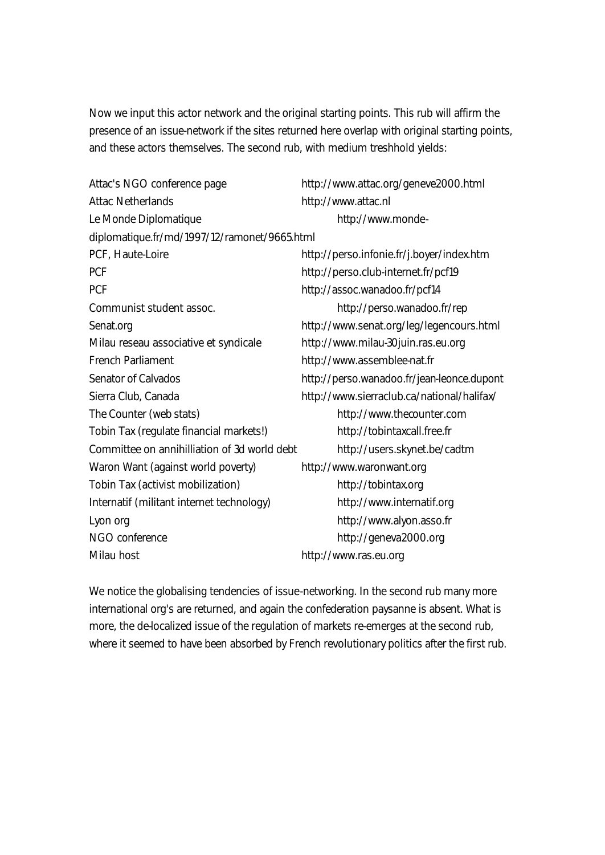Now we input this actor network and the original starting points. This rub will affirm the presence of an issue-network if the sites returned here overlap with original starting points, and these actors themselves. The second rub, with medium treshhold yields:

| http://www.attac.org/geneve2000.html                                         |  |
|------------------------------------------------------------------------------|--|
| http://www.attac.nl                                                          |  |
| http://www.monde-                                                            |  |
| diplomatique.fr/md/1997/12/ramonet/9665.html                                 |  |
| http://perso.infonie.fr/j.boyer/index.htm                                    |  |
| http://perso.club-internet.fr/pcf19                                          |  |
| http://assoc.wanadoo.fr/pcf14                                                |  |
| http://perso.wanadoo.fr/rep                                                  |  |
| http://www.senat.org/leg/legencours.html                                     |  |
| http://www.milau-30juin.ras.eu.org                                           |  |
| http://www.assemblee-nat.fr                                                  |  |
| http://perso.wanadoo.fr/jean-leonce.dupont                                   |  |
| http://www.sierraclub.ca/national/halifax/                                   |  |
| http://www.thecounter.com                                                    |  |
| http://tobintaxcall.free.fr                                                  |  |
| Committee on annihilliation of 3d world debt<br>http://users.skynet.be/cadtm |  |
| http://www.waronwant.org                                                     |  |
| http://tobintax.org                                                          |  |
| http://www.internatif.org                                                    |  |
| http://www.alyon.asso.fr                                                     |  |
| http://geneva2000.org                                                        |  |
| http://www.ras.eu.org                                                        |  |
|                                                                              |  |

We notice the globalising tendencies of issue-networking. In the second rub many more international org's are returned, and again the confederation paysanne is absent. What is more, the de-localized issue of the regulation of markets re-emerges at the second rub, where it seemed to have been absorbed by French revolutionary politics after the first rub.